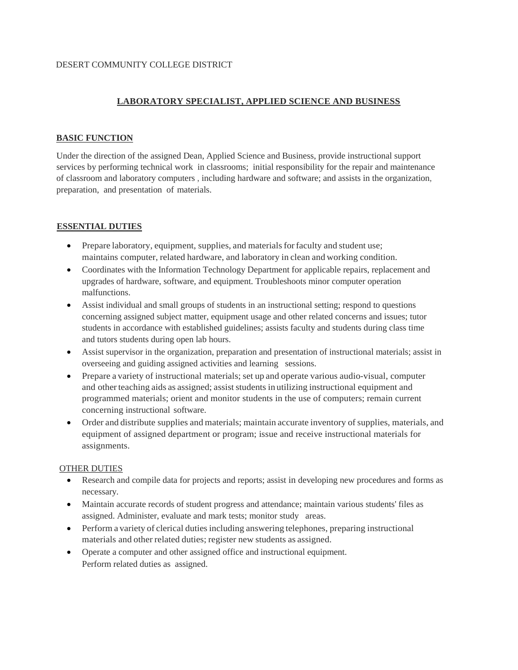## DESERT COMMUNITY COLLEGE DISTRICT

# **LABORATORY SPECIALIST, APPLIED SCIENCE AND BUSINESS**

### **BASIC FUNCTION**

Under the direction of the assigned Dean, Applied Science and Business, provide instructional support services by performing technical work in classrooms; initial responsibility for the repair and maintenance of classroom and laboratory computers , including hardware and software; and assists in the organization, preparation, and presentation of materials.

## **ESSENTIAL DUTIES**

- Prepare laboratory, equipment, supplies, and materials for faculty and student use; maintains computer, related hardware, and laboratory in clean and working condition.
- Coordinates with the Information Technology Department for applicable repairs, replacement and upgrades of hardware, software, and equipment. Troubleshoots minor computer operation malfunctions.
- Assist individual and small groups of students in an instructional setting; respond to questions concerning assigned subject matter, equipment usage and other related concerns and issues; tutor students in accordance with established guidelines; assists faculty and students during class time and tutors students during open lab hours.
- Assist supervisor in the organization, preparation and presentation of instructional materials; assist in overseeing and guiding assigned activities and learning sessions.
- Prepare a variety of instructional materials; set up and operate various audio-visual, computer and other teaching aids as assigned; assist students in utilizing instructional equipment and programmed materials; orient and monitor students in the use of computers; remain current concerning instructional software.
- Order and distribute supplies and materials; maintain accurate inventory of supplies, materials, and equipment of assigned department or program; issue and receive instructional materials for assignments.

## OTHER DUTIES

- Research and compile data for projects and reports; assist in developing new procedures and forms as necessary.
- Maintain accurate records of student progress and attendance; maintain various students' files as assigned. Administer, evaluate and mark tests; monitor study areas.
- Perform a variety of clerical duties including answering telephones, preparing instructional materials and other related duties; register new students as assigned.
- Operate a computer and other assigned office and instructional equipment. Perform related duties as assigned.